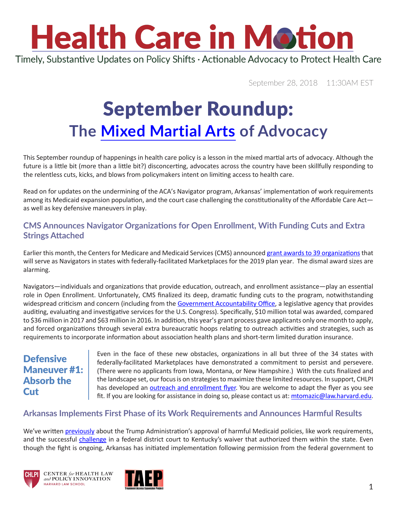# **Health Care in Motion**

Timely, Substantive Updates on Policy Shifts · Actionable Advocacy to Protect Health Care

September 28, 2018 11:30AM EST

### September Roundup: **The [Mixed Martial Arts](https://www.youtube.com/watch?v=yRtrCq6LWt8) of Advocacy**

This September roundup of happenings in health care policy is a lesson in the mixed martial arts of advocacy. Although the future is a little bit (more than a little bit?) disconcerting, advocates across the country have been skillfully responding to the relentless cuts, kicks, and blows from policymakers intent on limiting access to health care.

Read on for updates on the undermining of the ACA's Navigator program, Arkansas' implementation of work requirements among its Medicaid expansion population, and the court case challenging the constitutionality of the Affordable Care Act as well as key defensive maneuvers in play.

#### **CMS Announces Navigator Organizations for Open Enrollment, With Funding Cuts and Extra Strings Attached**

Earlier this month, the Centers for Medicare and Medicaid Services (CMS) announced [grant awards to 39 organizations](https://urldefense.proofpoint.com/v2/url?u=https-3A__www.cms.gov_CCIIO_Programs-2Dand-2DInitiatives_Health-2DInsurance-2DMarketplaces_Downloads_2018-2DNavigator-2DGrant-2DRecipients.PDF&d=DwMFaQ&c=WO-RGvefibhHBZq3fL85hQ&r=c9qve03IyHunGZ6NQ0e4Il4aQFNoehxz8FM84fOl1pc&m=ZNviFOJUP4cD5h7Krg_4J9_zhxyicNiEAczgDVRCUis&s=FJECXrjkOJNwqy4GBJ65__8oPOjz-cTqI0-hJYWHUXs&e=) that will serve as Navigators in states with federally-facilitated Marketplaces for the 2019 plan year. The dismal award sizes are alarming.

Navigators—individuals and organizations that provide education, outreach, and enrollment assistance—play an essential role in Open Enrollment. Unfortunately, CMS finalized its deep, dramatic funding cuts to the program, notwithstanding widespread criticism and concern (including from the [Government Accountability Office](https://urldefense.proofpoint.com/v2/url?u=https-3A__www.gao.gov_assets_700_693362.pdf&d=DwMFaQ&c=WO-RGvefibhHBZq3fL85hQ&r=c9qve03IyHunGZ6NQ0e4Il4aQFNoehxz8FM84fOl1pc&m=ZNviFOJUP4cD5h7Krg_4J9_zhxyicNiEAczgDVRCUis&s=X2_Jka9Wg13eNEw-AX2Z8umIfABUbzb_CFgNkEytth0&e=), a legislative agency that provides auditing, evaluating and investigative services for the U.S. Congress). Specifically, \$10 million total was awarded, compared to \$36 million in 2017 and \$63 million in 2016. In addition, this year's grant process gave applicants only one month to apply, and forced organizations through several extra bureaucratic hoops relating to outreach activities and strategies, such as requirements to incorporate information about association health plans and short-term limited duration insurance.

#### **Defensive** Maneuver #1: Absorb the **Cut**

Even in the face of these new obstacles, organizations in all but three of the 34 states with federally-facilitated Marketplaces have demonstrated a commitment to persist and persevere. (There were no applicants from Iowa, Montana, or New Hampshire.) With the cuts finalized and the landscape set, our focus is on strategies to maximize these limited resources. In support, CHLPI has developed an [outreach and enrollment flyer.](https://www.chlpi.org/wp-content/uploads/2013/12/CIDP-Open-Enrollment-1-pager.pdf) You are welcome to adapt the flyer as you see fit. If you are looking for assistance in doing so, please contact us at: [mtomazic@law.harvard.edu](mailto:mtomazic@law.harvard.edu).

#### **Arkansas Implements First Phase of its Work Requirements and Announces Harmful Results**

We've written [previously](https://urldefense.proofpoint.com/v2/url?u=https-3A__www.chlpi.org_wp-2Dcontent_uploads_2013_12_HCIM-5F01-5F12-5F2018-5Fupdated-2D1-5F17-5F2018.pdf&d=DwMFaQ&c=WO-RGvefibhHBZq3fL85hQ&r=c9qve03IyHunGZ6NQ0e4Il4aQFNoehxz8FM84fOl1pc&m=ZNviFOJUP4cD5h7Krg_4J9_zhxyicNiEAczgDVRCUis&s=TZcP_oon9qDGpUQtEh54x64FlEBmDi2Zwp5OSdJE0Ks&e=) about the Trump Administration's approval of harmful Medicaid policies, like work requirements, and the successful [challenge](https://urldefense.proofpoint.com/v2/url?u=https-3A__www.chlpi.org_wp-2Dcontent_uploads_2013_12_HCIM-5F07-5F02-5F2018.pdf&d=DwMFaQ&c=WO-RGvefibhHBZq3fL85hQ&r=c9qve03IyHunGZ6NQ0e4Il4aQFNoehxz8FM84fOl1pc&m=ZNviFOJUP4cD5h7Krg_4J9_zhxyicNiEAczgDVRCUis&s=FR19VnoyCRTVoLyveBj0ePQOuyi3Pe68Ikwi8ava7Ec&e=) in a federal district court to Kentucky's waiver that authorized them within the state. Even though the fight is ongoing, Arkansas has initiated implementation following permission from the federal government to





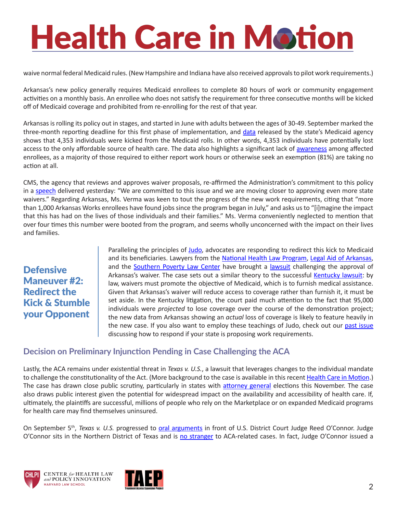# **Health Care in Motion**

waive normal federal Medicaid rules. (New Hampshire and Indiana have also received approvals to pilot work requirements.)

Arkansas's new policy generally requires Medicaid enrollees to complete 80 hours of work or community engagement activities on a monthly basis. An enrollee who does not satisfy the requirement for three consecutive months will be kicked off of Medicaid coverage and prohibited from re-enrolling for the rest of that year.

Arkansas is rolling its policy out in stages, and started in June with adults between the ages of 30-49. September marked the three-month reporting deadline for this first phase of implementation, and [data](https://urldefense.proofpoint.com/v2/url?u=https-3A__ccf.georgetown.edu_wp-2Dcontent_uploads_2018_09_091218-5FAWReport-5FFinal.pdf&d=DwMFaQ&c=WO-RGvefibhHBZq3fL85hQ&r=c9qve03IyHunGZ6NQ0e4Il4aQFNoehxz8FM84fOl1pc&m=ZNviFOJUP4cD5h7Krg_4J9_zhxyicNiEAczgDVRCUis&s=ki1kA8EdIasWQgo5916lsFKJVxAkPGN58a1ZwioPTIo&e=) released by the state's Medicaid agency shows that 4,353 individuals were kicked from the Medicaid rolls. In other words, 4,353 individuals have potentially lost access to the only affordable source of health care. The data also highlights a significant lack of [awareness](https://urldefense.proofpoint.com/v2/url?u=https-3A__ccf.georgetown.edu_2018_09_13_coverage-2Dlosses-2Dbegin-2Dfrom-2Dmean-2Dspirited-2Dtrump-2Dadministration-2Dmedicaid-2Dpolicy_&d=DwMFaQ&c=WO-RGvefibhHBZq3fL85hQ&r=c9qve03IyHunGZ6NQ0e4Il4aQFNoehxz8FM84fOl1pc&m=ZNviFOJUP4cD5h7Krg_4J9_zhxyicNiEAczgDVRCUis&s=O1OI6C2ILCbiiqo9lTsYajLASgkCPWIs4jkcFnOX4fs&e=) among affected enrollees, as a majority of those required to either report work hours or otherwise seek an exemption (81%) are taking no action at all.

CMS, the agency that reviews and approves waiver proposals, re-affirmed the Administration's commitment to this policy in a [speech](https://urldefense.proofpoint.com/v2/url?u=https-3A__www.cms.gov_newsroom_press-2Dreleases_speech-2Dremarks-2Dadministrator-2Dseema-2Dverma-2D2018-2Dmedicaid-2Dmanaged-2Dcare-2Dsummit&d=DwMFaQ&c=WO-RGvefibhHBZq3fL85hQ&r=c9qve03IyHunGZ6NQ0e4Il4aQFNoehxz8FM84fOl1pc&m=ZNviFOJUP4cD5h7Krg_4J9_zhxyicNiEAczgDVRCUis&s=xsVwCISabFrAAcYhEsb3L-8HldSznygHylHJJFVr8aw&e=) delivered yesterday: "We are committed to this issue and we are moving closer to approving even more state waivers." Regarding Arkansas, Ms. Verma was keen to tout the progress of the new work requirements, citing that "more than 1,000 Arkansas Works enrollees have found jobs since the program began in July," and asks us to "[i]magine the impact that this has had on the lives of those individuals and their families." Ms. Verma conveniently neglected to mention that over four times this number were booted from the program, and seems wholly unconcerned with the impact on their lives and families.

#### **Defensive** Maneuver #2: Redirect the Kick & Stumble your Opponent

Paralleling the principles of [Judo](https://www.youtube.com/watch?v=7B4yzmf6FEQ), advocates are responding to redirect this kick to Medicaid and its beneficiaries. Lawyers from the [National Health Law Program](https://urldefense.proofpoint.com/v2/url?u=http-3A__www.healthlaw.org_&d=DwMFaQ&c=WO-RGvefibhHBZq3fL85hQ&r=c9qve03IyHunGZ6NQ0e4Il4aQFNoehxz8FM84fOl1pc&m=ZNviFOJUP4cD5h7Krg_4J9_zhxyicNiEAczgDVRCUis&s=3MSYtn339rQywyCX2m7yu4F8h5UgnnSuWZxXmcD-Nhc&e=), [Legal Aid of Arkansas](https://urldefense.proofpoint.com/v2/url?u=http-3A__arlegalaid.org_&d=DwMFaQ&c=WO-RGvefibhHBZq3fL85hQ&r=c9qve03IyHunGZ6NQ0e4Il4aQFNoehxz8FM84fOl1pc&m=ZNviFOJUP4cD5h7Krg_4J9_zhxyicNiEAczgDVRCUis&s=iNPPY_MXm9G38hKizzRz6zZLTBLkIdDzLNXizeBgvYY&e=), and the [Southern Poverty Law Center](https://urldefense.proofpoint.com/v2/url?u=https-3A__www.splcenter.org_&d=DwMFaQ&c=WO-RGvefibhHBZq3fL85hQ&r=c9qve03IyHunGZ6NQ0e4Il4aQFNoehxz8FM84fOl1pc&m=ZNviFOJUP4cD5h7Krg_4J9_zhxyicNiEAczgDVRCUis&s=b96ZHVvFjzJf_YEMN2fPCO1apNQ75yrnAU8lLc5q9TM&e=) have brought a [lawsuit](https://urldefense.proofpoint.com/v2/url?u=http-3A__www.healthlaw.org_publications_browse-2Dall-2Dpublications_summary-2Dof-2Dlawsuit-2Dfiled-2Dagainst-2Dhhs-2Dapproval-2Dof-2Darkansas-2Dworks-2Damendment&d=DwMFaQ&c=WO-RGvefibhHBZq3fL85hQ&r=c9qve03IyHunGZ6NQ0e4Il4aQFNoehxz8FM84fOl1pc&m=ZNviFOJUP4cD5h7Krg_4J9_zhxyicNiEAczgDVRCUis&s=7DCgwBBui_x6bXV3WDBAIxOOtjr5B5I4iItvY2eaVBk&e=) challenging the approval of Arkansas's waiver. The case sets out a similar theory to the successful [Kentucky lawsuit](https://urldefense.proofpoint.com/v2/url?u=https-3A__www.chlpi.org_wp-2Dcontent_uploads_2013_12_HCIM-5F07-5F02-5F2018.pdf&d=DwMFaQ&c=WO-RGvefibhHBZq3fL85hQ&r=c9qve03IyHunGZ6NQ0e4Il4aQFNoehxz8FM84fOl1pc&m=ZNviFOJUP4cD5h7Krg_4J9_zhxyicNiEAczgDVRCUis&s=FR19VnoyCRTVoLyveBj0ePQOuyi3Pe68Ikwi8ava7Ec&e=): by law, waivers must promote the objective of Medicaid, which is to furnish medical assistance. Given that Arkansas's waiver will reduce access to coverage rather than furnish it, it must be set aside. In the Kentucky litigation, the court paid much attention to the fact that 95,000 individuals were *projected* to lose coverage over the course of the demonstration project; the new data from Arkansas showing an *actual* loss of coverage is likely to feature heavily in the new case. If you also want to employ these teachings of Judo, check out our [past issue](https://urldefense.proofpoint.com/v2/url?u=https-3A__www.chlpi.org_wp-2Dcontent_uploads_2013_12_HCIM-5F05-5F07-5F2018.pdf&d=DwMFaQ&c=WO-RGvefibhHBZq3fL85hQ&r=c9qve03IyHunGZ6NQ0e4Il4aQFNoehxz8FM84fOl1pc&m=ZNviFOJUP4cD5h7Krg_4J9_zhxyicNiEAczgDVRCUis&s=ph9ernVRtryP1tvlbYvRm6z1V1aNBLoof3PaXI1_680&e=) discussing how to respond if your state is proposing work requirements.

#### **Decision on Preliminary Injunction Pending in Case Challenging the ACA**

Lastly, the ACA remains under existential threat in *Texas v. U.S.*, a lawsuit that leverages changes to the individual mandate to challenge the constitutionality of the Act. (More background to the case is available in this recent [Health Care in Motion.](https://urldefense.proofpoint.com/v2/url?u=https-3A__www.chlpi.org_wp-2Dcontent_uploads_2013_12_HCIM-5F09-5F06-5F2018.pdf&d=DwMFaQ&c=WO-RGvefibhHBZq3fL85hQ&r=c9qve03IyHunGZ6NQ0e4Il4aQFNoehxz8FM84fOl1pc&m=ZNviFOJUP4cD5h7Krg_4J9_zhxyicNiEAczgDVRCUis&s=RzW5spqyXpJkRB2GMVMeG8X4fU6eywiL1O13i6_LU_M&e=)) The case has drawn close public scrutiny, particularly in states with [attorney general](https://www.krem.com/article/news/nation-now/obamacare-a-central-issue-in-state-attorney-general-races/465-b84ab38d-28a5-4e10-928e-ca6998e1889a) elections this November. The case also draws public interest given the potential for widespread impact on the availability and accessibility of health care. If, ultimately, the plaintiffs are successful, millions of people who rely on the Marketplace or on expanded Medicaid programs for health care may find themselves uninsured.

On September 5th, *Texas v. U.S.* progressed to [oral arguments](https://urldefense.proofpoint.com/v2/url?u=http-3A__premiumtaxcredits.wikispaces.com_file_view_State-2520of-2520Texas-2520v.-2520HHS.pdf_631117595_State-2520of-2520Texas-2520v.-2520HHS.pdf&d=DwMFaQ&c=WO-RGvefibhHBZq3fL85hQ&r=c9qve03IyHunGZ6NQ0e4Il4aQFNoehxz8FM84fOl1pc&m=ZNviFOJUP4cD5h7Krg_4J9_zhxyicNiEAczgDVRCUis&s=VYVopK32EMsV-DnT549FtBbzF-t2FROIzL1MEerV9mw&e=) in front of U.S. District Court Judge Reed O'Connor. Judge O'Connor sits in the Northern District of Texas and is [no stranger](https://urldefense.proofpoint.com/v2/url?u=https-3A__www.healthaffairs.org_do_10.1377_hblog20180122.689768_full_&d=DwMFaQ&c=WO-RGvefibhHBZq3fL85hQ&r=c9qve03IyHunGZ6NQ0e4Il4aQFNoehxz8FM84fOl1pc&m=ZNviFOJUP4cD5h7Krg_4J9_zhxyicNiEAczgDVRCUis&s=bEvNIq0e3_Q-Tjb_05B1ssfdZdk7wsXVX7qBn5mTx6c&e=) to ACA-related cases. In fact, Judge O'Connor issued a